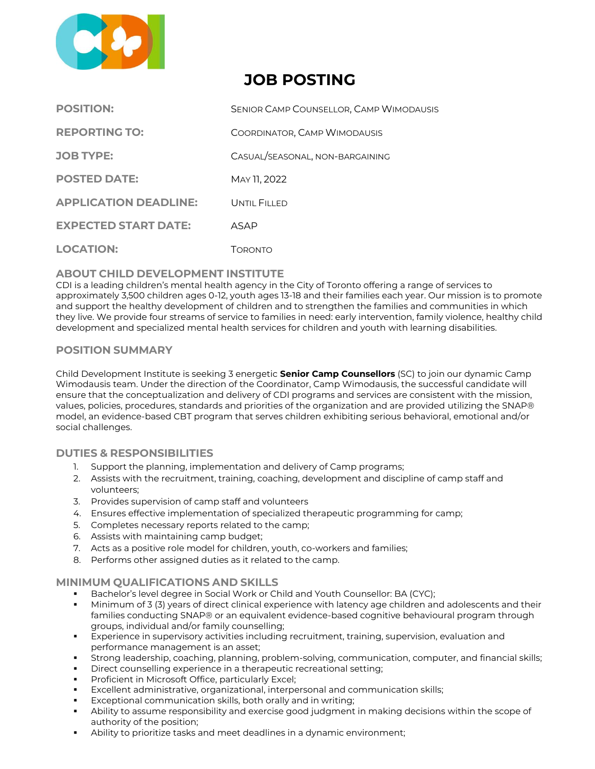

# **JOB POSTING**

| <b>POSITION:</b>             | <b>SENIOR CAMP COUNSELLOR, CAMP WIMODAUSIS</b> |
|------------------------------|------------------------------------------------|
| <b>REPORTING TO:</b>         | COORDINATOR, CAMP WIMODAUSIS                   |
| <b>JOB TYPE:</b>             | CASUAL/SEASONAL, NON-BARGAINING                |
| <b>POSTED DATE:</b>          | MAY 11, 2022                                   |
| <b>APPLICATION DEADLINE:</b> | UNTIL FILLED                                   |
| <b>EXPECTED START DATE:</b>  | ASAP                                           |
| <b>LOCATION:</b>             | Торолто                                        |

## **ABOUT CHILD DEVELOPMENT INSTITUTE**

CDI is a leading children's mental health agency in the City of Toronto offering a range of services to approximately 3,500 children ages 0‐12, youth ages 13-18 and their families each year. Our mission is to promote and support the healthy development of children and to strengthen the families and communities in which they live. We provide four streams of service to families in need: early intervention, family violence, healthy child development and specialized mental health services for children and youth with learning disabilities.

## **POSITION SUMMARY**

Child Development Institute is seeking 3 energetic **Senior Camp Counsellors** (SC) to join our dynamic Camp Wimodausis team. Under the direction of the Coordinator, Camp Wimodausis, the successful candidate will ensure that the conceptualization and delivery of CDI programs and services are consistent with the mission, values, policies, procedures, standards and priorities of the organization and are provided utilizing the SNAP® model, an evidence-based CBT program that serves children exhibiting serious behavioral, emotional and/or social challenges.

### **DUTIES & RESPONSIBILITIES**

- 1. Support the planning, implementation and delivery of Camp programs;
- 2. Assists with the recruitment, training, coaching, development and discipline of camp staff and volunteers;
- 3. Provides supervision of camp staff and volunteers
- 4. Ensures effective implementation of specialized therapeutic programming for camp;
- 5. Completes necessary reports related to the camp;
- 6. Assists with maintaining camp budget;
- 7. Acts as a positive role model for children, youth, co-workers and families;
- 8. Performs other assigned duties as it related to the camp.

### **MINIMUM QUALIFICATIONS AND SKILLS**

- **EXECTED** Bachelor's level degree in Social Work or Child and Youth Counsellor: BA (CYC);
- Minimum of 3 (3) years of direct clinical experience with latency age children and adolescents and their families conducting SNAP® or an equivalent evidence-based cognitive behavioural program through groups, individual and/or family counselling;
- Experience in supervisory activities including recruitment, training, supervision, evaluation and performance management is an asset;
- Strong leadership, coaching, planning, problem-solving, communication, computer, and financial skills;
- Direct counselling experience in a therapeutic recreational setting;
- Proficient in Microsoft Office, particularly Excel;
- Excellent administrative, organizational, interpersonal and communication skills;
- Exceptional communication skills, both orally and in writing;
- Ability to assume responsibility and exercise good judgment in making decisions within the scope of authority of the position;
- Ability to prioritize tasks and meet deadlines in a dynamic environment;